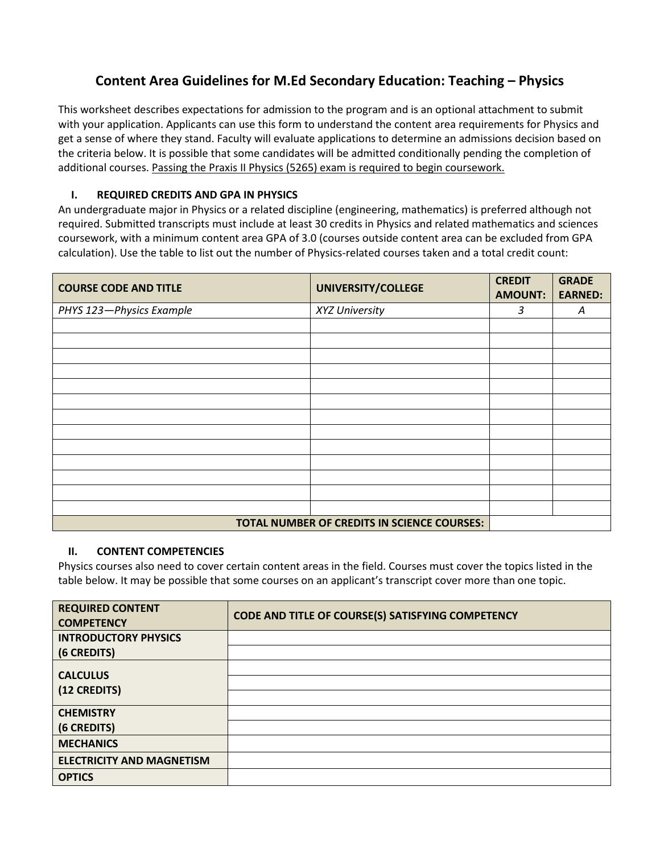## **Content Area Guidelines for M.Ed Secondary Education: Teaching – Physics**

This worksheet describes expectations for admission to the program and is an optional attachment to submit with your application. Applicants can use this form to understand the content area requirements for Physics and get a sense of where they stand. Faculty will evaluate applications to determine an admissions decision based on the criteria below. It is possible that some candidates will be admitted conditionally pending the completion of additional courses. Passing the Praxis II Physics (5265) exam is required to begin coursework.

## **I. REQUIRED CREDITS AND GPA IN PHYSICS**

An undergraduate major in Physics or a related discipline (engineering, mathematics) is preferred although not required. Submitted transcripts must include at least 30 credits in Physics and related mathematics and sciences coursework, with a minimum content area GPA of 3.0 (courses outside content area can be excluded from GPA calculation). Use the table to list out the number of Physics-related courses taken and a total credit count:

| <b>COURSE CODE AND TITLE</b> | UNIVERSITY/COLLEGE                          | <b>CREDIT</b><br><b>AMOUNT:</b> | <b>GRADE</b><br><b>EARNED:</b> |
|------------------------------|---------------------------------------------|---------------------------------|--------------------------------|
| PHYS 123-Physics Example     | XYZ University                              | 3                               | A                              |
|                              |                                             |                                 |                                |
|                              |                                             |                                 |                                |
|                              |                                             |                                 |                                |
|                              |                                             |                                 |                                |
|                              |                                             |                                 |                                |
|                              |                                             |                                 |                                |
|                              |                                             |                                 |                                |
|                              |                                             |                                 |                                |
|                              |                                             |                                 |                                |
|                              |                                             |                                 |                                |
|                              |                                             |                                 |                                |
|                              |                                             |                                 |                                |
|                              |                                             |                                 |                                |
|                              | TOTAL NUMBER OF CREDITS IN SCIENCE COURSES: |                                 |                                |

## **II. CONTENT COMPETENCIES**

Physics courses also need to cover certain content areas in the field. Courses must cover the topics listed in the table below. It may be possible that some courses on an applicant's transcript cover more than one topic.

| <b>REQUIRED CONTENT</b><br><b>COMPETENCY</b> | CODE AND TITLE OF COURSE(S) SATISFYING COMPETENCY |
|----------------------------------------------|---------------------------------------------------|
| <b>INTRODUCTORY PHYSICS</b>                  |                                                   |
| (6 CREDITS)                                  |                                                   |
| <b>CALCULUS</b>                              |                                                   |
| (12 CREDITS)                                 |                                                   |
|                                              |                                                   |
| <b>CHEMISTRY</b>                             |                                                   |
| (6 CREDITS)                                  |                                                   |
| <b>MECHANICS</b>                             |                                                   |
| <b>ELECTRICITY AND MAGNETISM</b>             |                                                   |
| <b>OPTICS</b>                                |                                                   |